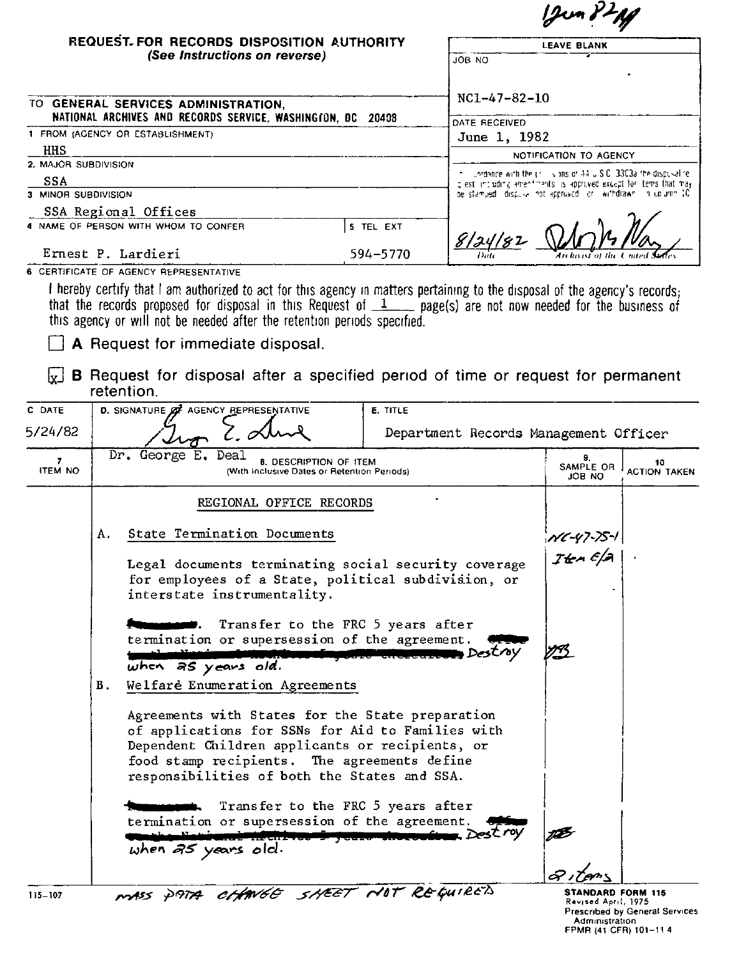|                      |                                                                                                                                                                                                                                                          |                                       | $12$ un $3^2$ Mg                                                                                                                     |                           |  |
|----------------------|----------------------------------------------------------------------------------------------------------------------------------------------------------------------------------------------------------------------------------------------------------|---------------------------------------|--------------------------------------------------------------------------------------------------------------------------------------|---------------------------|--|
|                      | REQUEST. FOR RECORDS DISPOSITION AUTHORITY                                                                                                                                                                                                               |                                       | <b>LEAVE BLANK</b>                                                                                                                   |                           |  |
|                      | (See Instructions on reverse)                                                                                                                                                                                                                            | OU BOL                                |                                                                                                                                      |                           |  |
|                      |                                                                                                                                                                                                                                                          |                                       |                                                                                                                                      |                           |  |
|                      | TO GENERAL SERVICES ADMINISTRATION,                                                                                                                                                                                                                      | NC1-47-82-10                          |                                                                                                                                      |                           |  |
|                      | NATIONAL ARCHIVES AND RECORDS SERVICE, WASHINGTON, DC                                                                                                                                                                                                    | 20408<br>DATE RECEIVED                |                                                                                                                                      |                           |  |
| HHS                  | 1 FROM (AGENCY OR ESTABLISHMENT)                                                                                                                                                                                                                         | June 1, 1982                          |                                                                                                                                      |                           |  |
| 2. MAJOR SUBDIVISION |                                                                                                                                                                                                                                                          |                                       | NOTIFICATION TO AGENCY                                                                                                               |                           |  |
| SSA                  |                                                                                                                                                                                                                                                          |                                       | -uordance with the projections of 44 U.S.C. 3303a the dispusalize<br>glest including amendments is approved except for tems that may |                           |  |
| 3 MINOR SUBDIVISION  |                                                                                                                                                                                                                                                          |                                       | be stamped idispuse not approved lor iwithdrawn in column 10                                                                         |                           |  |
|                      | SSA Regional Offices<br>4 NAME OF PERSON WITH WHOM TO CONFER                                                                                                                                                                                             |                                       |                                                                                                                                      |                           |  |
|                      | Ernest P. Lardieri                                                                                                                                                                                                                                       | 5 TEL EXT<br>8/24/82<br>594-5770      |                                                                                                                                      |                           |  |
|                      | 6 CERTIFICATE OF AGENCY REPRESENTATIVE                                                                                                                                                                                                                   |                                       |                                                                                                                                      |                           |  |
| ŀx」<br>C DATE        | A Request for immediate disposal.<br><b>B</b> Request for disposal after a specified period of time or request for permanent<br>retention.<br>D. SIGNATURE ØF AGENCY REPRESENTATIVE                                                                      | <b>E. TITLE</b>                       |                                                                                                                                      |                           |  |
| 5/24/82              |                                                                                                                                                                                                                                                          | Department Records Management Officer |                                                                                                                                      |                           |  |
| 7<br><b>ITEM NO</b>  | Dr. George E. Deal<br>8. DESCRIPTION OF ITEM<br>(With Inclusive Dates or Retention Periods)                                                                                                                                                              |                                       | 9.<br>SAMPLE OR<br>JOB NO                                                                                                            | 10<br><b>ACTION TAKEN</b> |  |
|                      | REGIONAL OFFICE RECORDS                                                                                                                                                                                                                                  |                                       |                                                                                                                                      |                           |  |
|                      | State Termination Documents<br>Α.                                                                                                                                                                                                                        |                                       | : <sub>NC-47-75-1</sub><br>  Jten Ef.A                                                                                               |                           |  |
|                      | Legal documents terminating social security coverage<br>for employees of a State, political subdivision, or<br>interstate instrumentality.                                                                                                               |                                       |                                                                                                                                      |                           |  |
|                      | Transfer to the FRC 5 years after<br>termination or supersession of the agreement.                                                                                                                                                                       | <b>Destry</b>                         |                                                                                                                                      |                           |  |
|                      | when as years old.<br>Welfare Enumeration Agreements<br>В.                                                                                                                                                                                               |                                       |                                                                                                                                      |                           |  |
|                      | Agreements with States for the State preparation<br>of applications for SSNs for Aid to Families with<br>Dependent Children applicants or recipients, or<br>food stamp recipients. The agreements define<br>responsibilities of both the States and SSA. |                                       |                                                                                                                                      |                           |  |

| <b>Numerous Communications</b> . Transfer to the FRC 5 years after |  |
|--------------------------------------------------------------------|--|
| termination or supersession of the agreement. Office               |  |
|                                                                    |  |
| when $\overline{a5}$ years old.                                    |  |

115-107 **STANDARD CONTRACT CONTRACT CONTRACT** STANDARD FORM 115

Revised April, 1975<br>Prescribed by General Service<br>- Administration<br>FPMR (41 CFR) 101–11 4